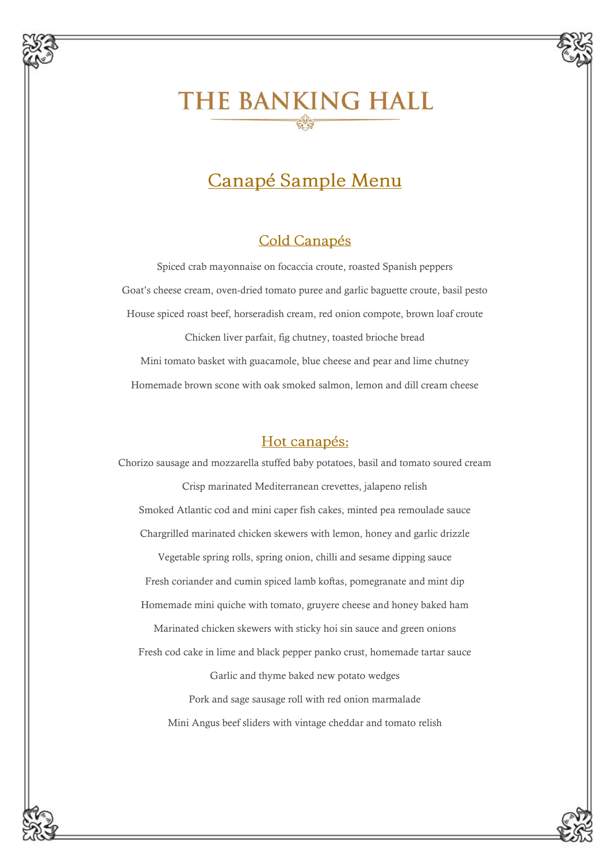# THE BANKING HALL

# Canapé Sample Menu

### Cold Canapés

Spiced crab mayonnaise on focaccia croute, roasted Spanish peppers Goat's cheese cream, oven-dried tomato puree and garlic baguette croute, basil pesto House spiced roast beef, horseradish cream, red onion compote, brown loaf croute Chicken liver parfait, fig chutney, toasted brioche bread Mini tomato basket with guacamole, blue cheese and pear and lime chutney Homemade brown scone with oak smoked salmon, lemon and dill cream cheese

#### Hot canapés:

Chorizo sausage and mozzarella stuffed baby potatoes, basil and tomato soured cream Crisp marinated Mediterranean crevettes, jalapeno relish Smoked Atlantic cod and mini caper fish cakes, minted pea remoulade sauce Chargrilled marinated chicken skewers with lemon, honey and garlic drizzle Vegetable spring rolls, spring onion, chilli and sesame dipping sauce Fresh coriander and cumin spiced lamb koftas, pomegranate and mint dip Homemade mini quiche with tomato, gruyere cheese and honey baked ham Marinated chicken skewers with sticky hoi sin sauce and green onions Fresh cod cake in lime and black pepper panko crust, homemade tartar sauce Garlic and thyme baked new potato wedges Pork and sage sausage roll with red onion marmalade Mini Angus beef sliders with vintage cheddar and tomato relish